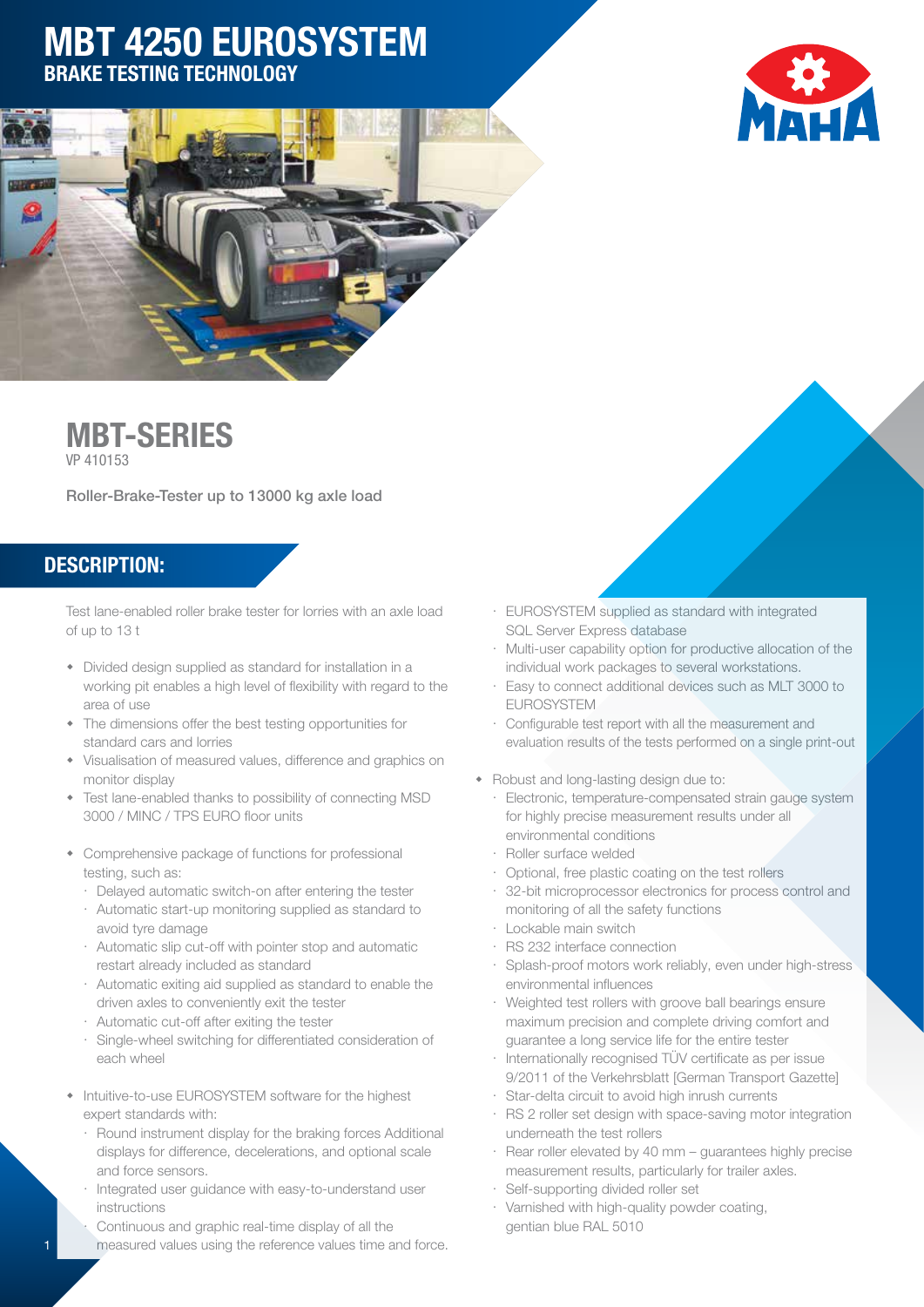# MBT 4250 EUROSYSTEM BRAKE TESTING TECHNOLOGY







Roller-Brake-Tester up to 13000 kg axle load

#### DESCRIPTION:

Test lane-enabled roller brake tester for lorries with an axle load of up to 13 t

- Divided design supplied as standard for installation in a working pit enables a high level of flexibility with regard to the area of use
- The dimensions offer the best testing opportunities for standard cars and lorries
- Visualisation of measured values, difference and graphics on monitor display
- Test lane-enabled thanks to possibility of connecting MSD 3000 / MINC / TPS EURO floor units
- Comprehensive package of functions for professional testing, such as:
	- Delayed automatic switch-on after entering the tester
	- $\cdot$  Automatic start-up monitoring supplied as standard to avoid tyre damage
	- $\cdot$  Automatic slip cut-off with pointer stop and automatic restart already included as standard
	- $\cdot$  Automatic exiting aid supplied as standard to enable the driven axles to conveniently exit the tester
	- Automatic cut-off after exiting the tester
	- « Single-wheel switching for differentiated consideration of each wheel
- Intuitive-to-use EUROSYSTEM software for the highest expert standards with:
	- $\cdot$  Round instrument display for the braking forces Additional displays for difference, decelerations, and optional scale and force sensors.
	- Integrated user guidance with easy-to-understand user instructions
	- Continuous and graphic real-time display of all the measured values using the reference values time and force.
- « EUROSYSTEM supplied as standard with integrated SQL Server Express database
- « Multi-user capability option for productive allocation of the individual work packages to several workstations.
- « Easy to connect additional devices such as MLT 3000 to EUROSYSTEM
- « Configurable test report with all the measurement and evaluation results of the tests performed on a single print-out
- Robust and long-lasting design due to:
	- « Electronic, temperature-compensated strain gauge system for highly precise measurement results under all environmental conditions
	- Roller surface welded
	- Optional, free plastic coating on the test rollers
	- 32-bit microprocessor electronics for process control and monitoring of all the safety functions
	- Lockable main switch
- « RS 232 interface connection
- « Splash-proof motors work reliably, even under high-stress environmental influences
- Weighted test rollers with groove ball bearings ensure maximum precision and complete driving comfort and guarantee a long service life for the entire tester
- Internationally recognised TÜV certificate as per issue 9/2011 of the Verkehrsblatt [German Transport Gazette]
- Star-delta circuit to avoid high inrush currents
- RS 2 roller set design with space-saving motor integration underneath the test rollers
- Rear roller elevated by 40 mm guarantees highly precise measurement results, particularly for trailer axles.
- Self-supporting divided roller set
- · Varnished with high-quality powder coating, gentian blue RAL 5010

1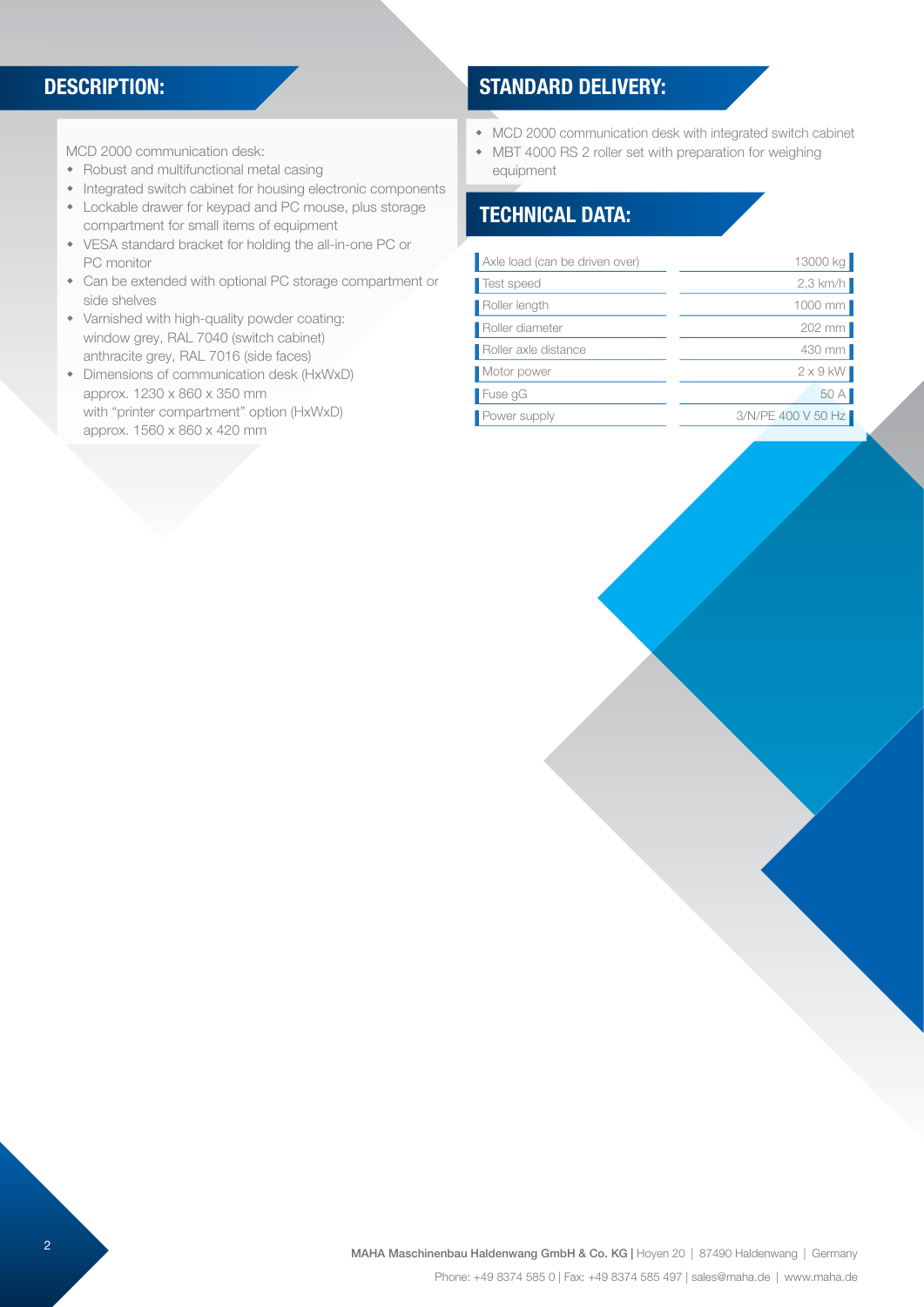#### DESCRIPTION:

MCD 2000 communication desk:

- $\bullet$  Robust and multifunctional metal casing
- Integrated switch cabinet for housing electronic components
- Lockable drawer for keypad and PC mouse, plus storage compartment for small items of equipment
- VESA standard bracket for holding the all-in-one PC or PC monitor
- Can be extended with optional PC storage compartment or side shelves
- $\bullet$  Varnished with high-quality powder coating: window grey, RAL 7040 (switch cabinet) anthracite grey, RAL 7016 (side faces)
- Dimensions of communication desk (HxWxD) approx. 1230 x 860 x 350 mm with "printer compartment" option (HxWxD) approx. 1560 x 860 x 420 mm

### STANDARD DELIVERY:

- MCD 2000 communication desk with integrated switch cabinet
- MBT 4000 RS 2 roller set with preparation for weighing equipment

#### TECHNICAL DATA:

| Axle load (can be driven over) | 13000 kg           |
|--------------------------------|--------------------|
| Test speed                     | $2.3$ km/h         |
| Roller length                  | 1000 mm            |
| Roller diameter                | 202 mm             |
| Roller axle distance           | 430 mm             |
| Motor power                    | $2 \times 9$ kW    |
| $\blacksquare$ Fuse gG         | 50 A               |
| Power supply                   | 3/N/PE 400 V 50 Hz |
|                                |                    |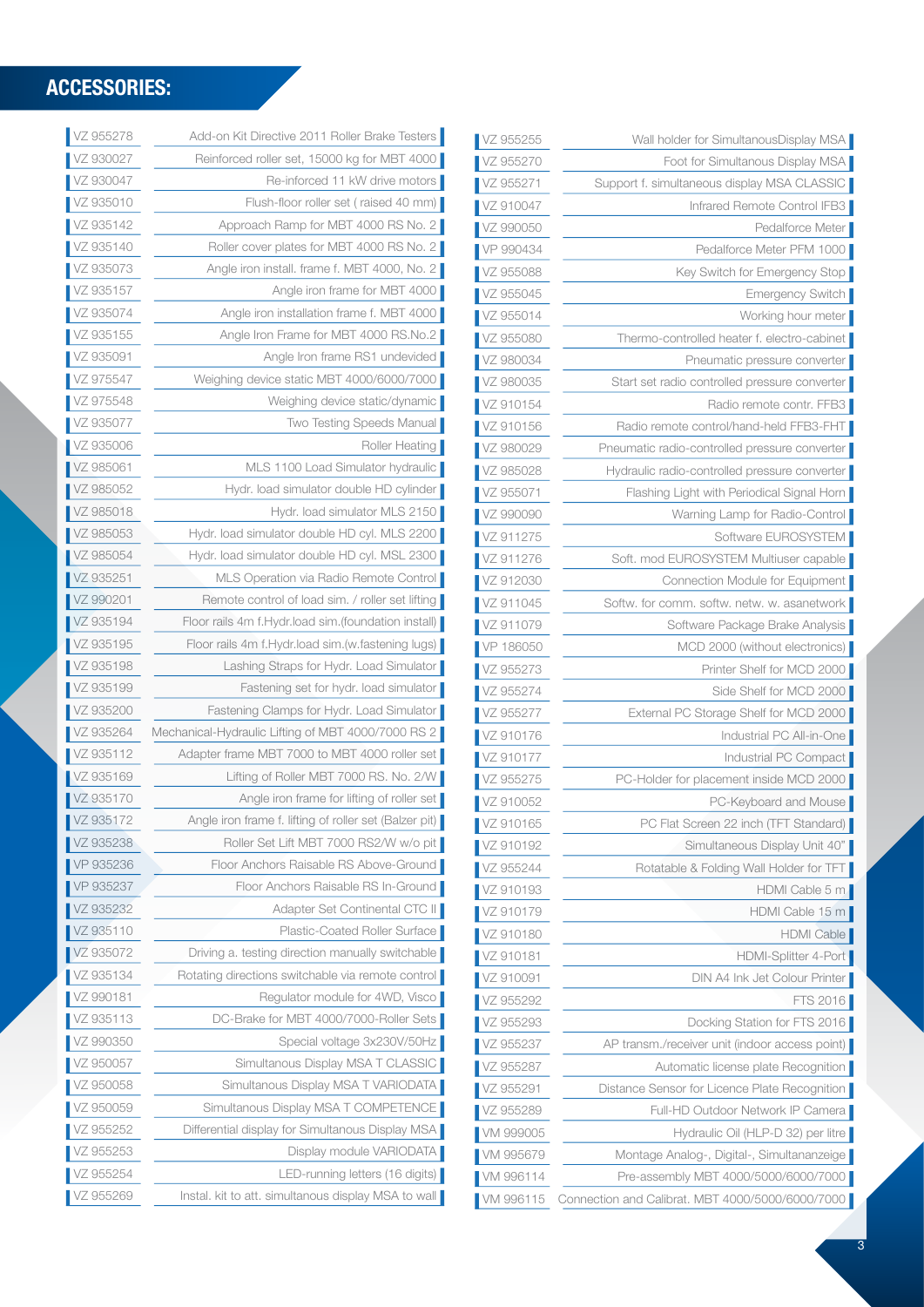| Foot for Simultanous Display MSA<br>vZ 955270<br>Support f. simultaneous display MSA CLASSIC<br>VZ 955271<br>VZ 910047<br>Infrared Remote Control IFB3<br>VZ 990050<br>Pedalforce Meter<br>VP 990434<br>Pedalforce Meter PFM 1000<br>VZ 955088<br>Key Switch for Emergency Stop<br>VZ 955045<br>Emergency Switch<br>VZ 955014<br>Working hour meter<br>Thermo-controlled heater f. electro-cabinet<br>vz 955080<br>VZ 980034<br>Pneumatic pressure converter<br>Start set radio controlled pressure converter<br>VZ 980035<br>VZ 910154<br>Radio remote contr. FFB3<br>Radio remote control/hand-held FFB3-FHT<br>VZ 910156<br>Pneumatic radio-controlled pressure converter<br>/Z 980029<br>VZ 985028<br>Hydraulic radio-controlled pressure converter<br>VZ 955071<br>Flashing Light with Periodical Signal Horn<br>VZ 990090<br>Warning Lamp for Radio-Control<br>Software EUROSYSTEM<br>VZ 911275<br>Soft. mod EUROSYSTEM Multiuser capable<br>VZ 911276<br>VZ 912030<br>Connection Module for Equipment<br>VZ 911045<br>Softw. for comm. softw. netw. w. asanetwork<br>Software Package Brake Analysis<br>VZ 911079<br>VP 186050<br>MCD 2000 (without electronics)<br>Printer Shelf for MCD 2000<br>VZ 955273<br>VZ 955274<br>Side Shelf for MCD 2000<br>External PC Storage Shelf for MCD 2000<br>VZ 955277<br>Industrial PC All-in-One<br>VZ 910176<br>Industrial PC Compact<br>VZ 910177<br>PC-Holder for placement inside MCD 2000<br>VZ 955275<br>VZ 910052<br>PC-Keyboard and Mouse<br>PC Flat Screen 22 inch (TFT Standard)<br>VZ 910165<br>VZ 910192<br>Simultaneous Display Unit 40"<br>Rotatable & Folding Wall Holder for TFT<br>/Z 955244<br>VZ 910193<br>HDMI Cable 5 m<br>HDMI Cable 15 m<br>VZ 910179<br><b>HDMI Cable</b><br>VZ 910180<br>HDMI-Splitter 4-Port<br>VZ 910181<br><b>DIN A4 Ink Jet Colour Printer</b><br>VZ 910091<br>VZ 955292<br>FTS 2016<br>Docking Station for FTS 2016<br>VZ 955293<br>AP transm./receiver unit (indoor access point)<br>VZ 955237<br>VZ 955287<br>Automatic license plate Recognition<br>VZ 955291<br>Distance Sensor for Licence Plate Recognition<br>/Z 955289<br>Full-HD Outdoor Network IP Camera<br>VM 999005<br>Hydraulic Oil (HLP-D 32) per litre<br>Montage Analog-, Digital-, Simultananzeige<br>VM 995679<br>VM 996114<br>Pre-assembly MBT 4000/5000/6000/7000 | VZ 955255 | Wall holder for SimultanousDisplay MSA |
|-----------------------------------------------------------------------------------------------------------------------------------------------------------------------------------------------------------------------------------------------------------------------------------------------------------------------------------------------------------------------------------------------------------------------------------------------------------------------------------------------------------------------------------------------------------------------------------------------------------------------------------------------------------------------------------------------------------------------------------------------------------------------------------------------------------------------------------------------------------------------------------------------------------------------------------------------------------------------------------------------------------------------------------------------------------------------------------------------------------------------------------------------------------------------------------------------------------------------------------------------------------------------------------------------------------------------------------------------------------------------------------------------------------------------------------------------------------------------------------------------------------------------------------------------------------------------------------------------------------------------------------------------------------------------------------------------------------------------------------------------------------------------------------------------------------------------------------------------------------------------------------------------------------------------------------------------------------------------------------------------------------------------------------------------------------------------------------------------------------------------------------------------------------------------------------------------------------------------------------------------------------------------------------------------------------------------------------|-----------|----------------------------------------|
|                                                                                                                                                                                                                                                                                                                                                                                                                                                                                                                                                                                                                                                                                                                                                                                                                                                                                                                                                                                                                                                                                                                                                                                                                                                                                                                                                                                                                                                                                                                                                                                                                                                                                                                                                                                                                                                                                                                                                                                                                                                                                                                                                                                                                                                                                                                                   |           |                                        |
|                                                                                                                                                                                                                                                                                                                                                                                                                                                                                                                                                                                                                                                                                                                                                                                                                                                                                                                                                                                                                                                                                                                                                                                                                                                                                                                                                                                                                                                                                                                                                                                                                                                                                                                                                                                                                                                                                                                                                                                                                                                                                                                                                                                                                                                                                                                                   |           |                                        |
|                                                                                                                                                                                                                                                                                                                                                                                                                                                                                                                                                                                                                                                                                                                                                                                                                                                                                                                                                                                                                                                                                                                                                                                                                                                                                                                                                                                                                                                                                                                                                                                                                                                                                                                                                                                                                                                                                                                                                                                                                                                                                                                                                                                                                                                                                                                                   |           |                                        |
|                                                                                                                                                                                                                                                                                                                                                                                                                                                                                                                                                                                                                                                                                                                                                                                                                                                                                                                                                                                                                                                                                                                                                                                                                                                                                                                                                                                                                                                                                                                                                                                                                                                                                                                                                                                                                                                                                                                                                                                                                                                                                                                                                                                                                                                                                                                                   |           |                                        |
|                                                                                                                                                                                                                                                                                                                                                                                                                                                                                                                                                                                                                                                                                                                                                                                                                                                                                                                                                                                                                                                                                                                                                                                                                                                                                                                                                                                                                                                                                                                                                                                                                                                                                                                                                                                                                                                                                                                                                                                                                                                                                                                                                                                                                                                                                                                                   |           |                                        |
|                                                                                                                                                                                                                                                                                                                                                                                                                                                                                                                                                                                                                                                                                                                                                                                                                                                                                                                                                                                                                                                                                                                                                                                                                                                                                                                                                                                                                                                                                                                                                                                                                                                                                                                                                                                                                                                                                                                                                                                                                                                                                                                                                                                                                                                                                                                                   |           |                                        |
|                                                                                                                                                                                                                                                                                                                                                                                                                                                                                                                                                                                                                                                                                                                                                                                                                                                                                                                                                                                                                                                                                                                                                                                                                                                                                                                                                                                                                                                                                                                                                                                                                                                                                                                                                                                                                                                                                                                                                                                                                                                                                                                                                                                                                                                                                                                                   |           |                                        |
|                                                                                                                                                                                                                                                                                                                                                                                                                                                                                                                                                                                                                                                                                                                                                                                                                                                                                                                                                                                                                                                                                                                                                                                                                                                                                                                                                                                                                                                                                                                                                                                                                                                                                                                                                                                                                                                                                                                                                                                                                                                                                                                                                                                                                                                                                                                                   |           |                                        |
|                                                                                                                                                                                                                                                                                                                                                                                                                                                                                                                                                                                                                                                                                                                                                                                                                                                                                                                                                                                                                                                                                                                                                                                                                                                                                                                                                                                                                                                                                                                                                                                                                                                                                                                                                                                                                                                                                                                                                                                                                                                                                                                                                                                                                                                                                                                                   |           |                                        |
|                                                                                                                                                                                                                                                                                                                                                                                                                                                                                                                                                                                                                                                                                                                                                                                                                                                                                                                                                                                                                                                                                                                                                                                                                                                                                                                                                                                                                                                                                                                                                                                                                                                                                                                                                                                                                                                                                                                                                                                                                                                                                                                                                                                                                                                                                                                                   |           |                                        |
|                                                                                                                                                                                                                                                                                                                                                                                                                                                                                                                                                                                                                                                                                                                                                                                                                                                                                                                                                                                                                                                                                                                                                                                                                                                                                                                                                                                                                                                                                                                                                                                                                                                                                                                                                                                                                                                                                                                                                                                                                                                                                                                                                                                                                                                                                                                                   |           |                                        |
|                                                                                                                                                                                                                                                                                                                                                                                                                                                                                                                                                                                                                                                                                                                                                                                                                                                                                                                                                                                                                                                                                                                                                                                                                                                                                                                                                                                                                                                                                                                                                                                                                                                                                                                                                                                                                                                                                                                                                                                                                                                                                                                                                                                                                                                                                                                                   |           |                                        |
|                                                                                                                                                                                                                                                                                                                                                                                                                                                                                                                                                                                                                                                                                                                                                                                                                                                                                                                                                                                                                                                                                                                                                                                                                                                                                                                                                                                                                                                                                                                                                                                                                                                                                                                                                                                                                                                                                                                                                                                                                                                                                                                                                                                                                                                                                                                                   |           |                                        |
|                                                                                                                                                                                                                                                                                                                                                                                                                                                                                                                                                                                                                                                                                                                                                                                                                                                                                                                                                                                                                                                                                                                                                                                                                                                                                                                                                                                                                                                                                                                                                                                                                                                                                                                                                                                                                                                                                                                                                                                                                                                                                                                                                                                                                                                                                                                                   |           |                                        |
|                                                                                                                                                                                                                                                                                                                                                                                                                                                                                                                                                                                                                                                                                                                                                                                                                                                                                                                                                                                                                                                                                                                                                                                                                                                                                                                                                                                                                                                                                                                                                                                                                                                                                                                                                                                                                                                                                                                                                                                                                                                                                                                                                                                                                                                                                                                                   |           |                                        |
|                                                                                                                                                                                                                                                                                                                                                                                                                                                                                                                                                                                                                                                                                                                                                                                                                                                                                                                                                                                                                                                                                                                                                                                                                                                                                                                                                                                                                                                                                                                                                                                                                                                                                                                                                                                                                                                                                                                                                                                                                                                                                                                                                                                                                                                                                                                                   |           |                                        |
|                                                                                                                                                                                                                                                                                                                                                                                                                                                                                                                                                                                                                                                                                                                                                                                                                                                                                                                                                                                                                                                                                                                                                                                                                                                                                                                                                                                                                                                                                                                                                                                                                                                                                                                                                                                                                                                                                                                                                                                                                                                                                                                                                                                                                                                                                                                                   |           |                                        |
|                                                                                                                                                                                                                                                                                                                                                                                                                                                                                                                                                                                                                                                                                                                                                                                                                                                                                                                                                                                                                                                                                                                                                                                                                                                                                                                                                                                                                                                                                                                                                                                                                                                                                                                                                                                                                                                                                                                                                                                                                                                                                                                                                                                                                                                                                                                                   |           |                                        |
|                                                                                                                                                                                                                                                                                                                                                                                                                                                                                                                                                                                                                                                                                                                                                                                                                                                                                                                                                                                                                                                                                                                                                                                                                                                                                                                                                                                                                                                                                                                                                                                                                                                                                                                                                                                                                                                                                                                                                                                                                                                                                                                                                                                                                                                                                                                                   |           |                                        |
|                                                                                                                                                                                                                                                                                                                                                                                                                                                                                                                                                                                                                                                                                                                                                                                                                                                                                                                                                                                                                                                                                                                                                                                                                                                                                                                                                                                                                                                                                                                                                                                                                                                                                                                                                                                                                                                                                                                                                                                                                                                                                                                                                                                                                                                                                                                                   |           |                                        |
|                                                                                                                                                                                                                                                                                                                                                                                                                                                                                                                                                                                                                                                                                                                                                                                                                                                                                                                                                                                                                                                                                                                                                                                                                                                                                                                                                                                                                                                                                                                                                                                                                                                                                                                                                                                                                                                                                                                                                                                                                                                                                                                                                                                                                                                                                                                                   |           |                                        |
|                                                                                                                                                                                                                                                                                                                                                                                                                                                                                                                                                                                                                                                                                                                                                                                                                                                                                                                                                                                                                                                                                                                                                                                                                                                                                                                                                                                                                                                                                                                                                                                                                                                                                                                                                                                                                                                                                                                                                                                                                                                                                                                                                                                                                                                                                                                                   |           |                                        |
|                                                                                                                                                                                                                                                                                                                                                                                                                                                                                                                                                                                                                                                                                                                                                                                                                                                                                                                                                                                                                                                                                                                                                                                                                                                                                                                                                                                                                                                                                                                                                                                                                                                                                                                                                                                                                                                                                                                                                                                                                                                                                                                                                                                                                                                                                                                                   |           |                                        |
|                                                                                                                                                                                                                                                                                                                                                                                                                                                                                                                                                                                                                                                                                                                                                                                                                                                                                                                                                                                                                                                                                                                                                                                                                                                                                                                                                                                                                                                                                                                                                                                                                                                                                                                                                                                                                                                                                                                                                                                                                                                                                                                                                                                                                                                                                                                                   |           |                                        |
|                                                                                                                                                                                                                                                                                                                                                                                                                                                                                                                                                                                                                                                                                                                                                                                                                                                                                                                                                                                                                                                                                                                                                                                                                                                                                                                                                                                                                                                                                                                                                                                                                                                                                                                                                                                                                                                                                                                                                                                                                                                                                                                                                                                                                                                                                                                                   |           |                                        |
|                                                                                                                                                                                                                                                                                                                                                                                                                                                                                                                                                                                                                                                                                                                                                                                                                                                                                                                                                                                                                                                                                                                                                                                                                                                                                                                                                                                                                                                                                                                                                                                                                                                                                                                                                                                                                                                                                                                                                                                                                                                                                                                                                                                                                                                                                                                                   |           |                                        |
|                                                                                                                                                                                                                                                                                                                                                                                                                                                                                                                                                                                                                                                                                                                                                                                                                                                                                                                                                                                                                                                                                                                                                                                                                                                                                                                                                                                                                                                                                                                                                                                                                                                                                                                                                                                                                                                                                                                                                                                                                                                                                                                                                                                                                                                                                                                                   |           |                                        |
|                                                                                                                                                                                                                                                                                                                                                                                                                                                                                                                                                                                                                                                                                                                                                                                                                                                                                                                                                                                                                                                                                                                                                                                                                                                                                                                                                                                                                                                                                                                                                                                                                                                                                                                                                                                                                                                                                                                                                                                                                                                                                                                                                                                                                                                                                                                                   |           |                                        |
|                                                                                                                                                                                                                                                                                                                                                                                                                                                                                                                                                                                                                                                                                                                                                                                                                                                                                                                                                                                                                                                                                                                                                                                                                                                                                                                                                                                                                                                                                                                                                                                                                                                                                                                                                                                                                                                                                                                                                                                                                                                                                                                                                                                                                                                                                                                                   |           |                                        |
|                                                                                                                                                                                                                                                                                                                                                                                                                                                                                                                                                                                                                                                                                                                                                                                                                                                                                                                                                                                                                                                                                                                                                                                                                                                                                                                                                                                                                                                                                                                                                                                                                                                                                                                                                                                                                                                                                                                                                                                                                                                                                                                                                                                                                                                                                                                                   |           |                                        |
|                                                                                                                                                                                                                                                                                                                                                                                                                                                                                                                                                                                                                                                                                                                                                                                                                                                                                                                                                                                                                                                                                                                                                                                                                                                                                                                                                                                                                                                                                                                                                                                                                                                                                                                                                                                                                                                                                                                                                                                                                                                                                                                                                                                                                                                                                                                                   |           |                                        |
|                                                                                                                                                                                                                                                                                                                                                                                                                                                                                                                                                                                                                                                                                                                                                                                                                                                                                                                                                                                                                                                                                                                                                                                                                                                                                                                                                                                                                                                                                                                                                                                                                                                                                                                                                                                                                                                                                                                                                                                                                                                                                                                                                                                                                                                                                                                                   |           |                                        |
|                                                                                                                                                                                                                                                                                                                                                                                                                                                                                                                                                                                                                                                                                                                                                                                                                                                                                                                                                                                                                                                                                                                                                                                                                                                                                                                                                                                                                                                                                                                                                                                                                                                                                                                                                                                                                                                                                                                                                                                                                                                                                                                                                                                                                                                                                                                                   |           |                                        |
|                                                                                                                                                                                                                                                                                                                                                                                                                                                                                                                                                                                                                                                                                                                                                                                                                                                                                                                                                                                                                                                                                                                                                                                                                                                                                                                                                                                                                                                                                                                                                                                                                                                                                                                                                                                                                                                                                                                                                                                                                                                                                                                                                                                                                                                                                                                                   |           |                                        |
|                                                                                                                                                                                                                                                                                                                                                                                                                                                                                                                                                                                                                                                                                                                                                                                                                                                                                                                                                                                                                                                                                                                                                                                                                                                                                                                                                                                                                                                                                                                                                                                                                                                                                                                                                                                                                                                                                                                                                                                                                                                                                                                                                                                                                                                                                                                                   |           |                                        |
|                                                                                                                                                                                                                                                                                                                                                                                                                                                                                                                                                                                                                                                                                                                                                                                                                                                                                                                                                                                                                                                                                                                                                                                                                                                                                                                                                                                                                                                                                                                                                                                                                                                                                                                                                                                                                                                                                                                                                                                                                                                                                                                                                                                                                                                                                                                                   |           |                                        |
|                                                                                                                                                                                                                                                                                                                                                                                                                                                                                                                                                                                                                                                                                                                                                                                                                                                                                                                                                                                                                                                                                                                                                                                                                                                                                                                                                                                                                                                                                                                                                                                                                                                                                                                                                                                                                                                                                                                                                                                                                                                                                                                                                                                                                                                                                                                                   |           |                                        |
|                                                                                                                                                                                                                                                                                                                                                                                                                                                                                                                                                                                                                                                                                                                                                                                                                                                                                                                                                                                                                                                                                                                                                                                                                                                                                                                                                                                                                                                                                                                                                                                                                                                                                                                                                                                                                                                                                                                                                                                                                                                                                                                                                                                                                                                                                                                                   |           |                                        |
|                                                                                                                                                                                                                                                                                                                                                                                                                                                                                                                                                                                                                                                                                                                                                                                                                                                                                                                                                                                                                                                                                                                                                                                                                                                                                                                                                                                                                                                                                                                                                                                                                                                                                                                                                                                                                                                                                                                                                                                                                                                                                                                                                                                                                                                                                                                                   |           |                                        |
|                                                                                                                                                                                                                                                                                                                                                                                                                                                                                                                                                                                                                                                                                                                                                                                                                                                                                                                                                                                                                                                                                                                                                                                                                                                                                                                                                                                                                                                                                                                                                                                                                                                                                                                                                                                                                                                                                                                                                                                                                                                                                                                                                                                                                                                                                                                                   |           |                                        |
|                                                                                                                                                                                                                                                                                                                                                                                                                                                                                                                                                                                                                                                                                                                                                                                                                                                                                                                                                                                                                                                                                                                                                                                                                                                                                                                                                                                                                                                                                                                                                                                                                                                                                                                                                                                                                                                                                                                                                                                                                                                                                                                                                                                                                                                                                                                                   |           |                                        |
|                                                                                                                                                                                                                                                                                                                                                                                                                                                                                                                                                                                                                                                                                                                                                                                                                                                                                                                                                                                                                                                                                                                                                                                                                                                                                                                                                                                                                                                                                                                                                                                                                                                                                                                                                                                                                                                                                                                                                                                                                                                                                                                                                                                                                                                                                                                                   |           |                                        |
|                                                                                                                                                                                                                                                                                                                                                                                                                                                                                                                                                                                                                                                                                                                                                                                                                                                                                                                                                                                                                                                                                                                                                                                                                                                                                                                                                                                                                                                                                                                                                                                                                                                                                                                                                                                                                                                                                                                                                                                                                                                                                                                                                                                                                                                                                                                                   |           |                                        |
|                                                                                                                                                                                                                                                                                                                                                                                                                                                                                                                                                                                                                                                                                                                                                                                                                                                                                                                                                                                                                                                                                                                                                                                                                                                                                                                                                                                                                                                                                                                                                                                                                                                                                                                                                                                                                                                                                                                                                                                                                                                                                                                                                                                                                                                                                                                                   |           |                                        |
|                                                                                                                                                                                                                                                                                                                                                                                                                                                                                                                                                                                                                                                                                                                                                                                                                                                                                                                                                                                                                                                                                                                                                                                                                                                                                                                                                                                                                                                                                                                                                                                                                                                                                                                                                                                                                                                                                                                                                                                                                                                                                                                                                                                                                                                                                                                                   |           |                                        |
|                                                                                                                                                                                                                                                                                                                                                                                                                                                                                                                                                                                                                                                                                                                                                                                                                                                                                                                                                                                                                                                                                                                                                                                                                                                                                                                                                                                                                                                                                                                                                                                                                                                                                                                                                                                                                                                                                                                                                                                                                                                                                                                                                                                                                                                                                                                                   |           |                                        |
| Connection and Calibrat. MBT 4000/5000/6000/7000<br>VM 996115                                                                                                                                                                                                                                                                                                                                                                                                                                                                                                                                                                                                                                                                                                                                                                                                                                                                                                                                                                                                                                                                                                                                                                                                                                                                                                                                                                                                                                                                                                                                                                                                                                                                                                                                                                                                                                                                                                                                                                                                                                                                                                                                                                                                                                                                     |           |                                        |

## ACCESSORIES:

| VZ 955278<br>VZ 930027 | Add-on Kit Directive 2011 Roller Brake Testers              |
|------------------------|-------------------------------------------------------------|
|                        | Reinforced roller set, 15000 kg for MBT 4000                |
| VZ 930047              | Re-inforced 11 kW drive motors                              |
| VZ 935010              | Flush-floor roller set (raised 40 mm)                       |
| VZ 935142              | Approach Ramp for MBT 4000 RS No. 2                         |
| VZ 935140              | Roller cover plates for MBT 4000 RS No. 2                   |
| VZ 935073              | Angle iron install. frame f. MBT 4000, No. 2                |
| VZ 935157              | Angle iron frame for MBT 4000                               |
| VZ 935074              | Angle iron installation frame f. MBT 4000                   |
| VZ 935155              | Angle Iron Frame for MBT 4000 RS.No.2                       |
| VZ 935091              | Angle Iron frame RS1 undevided                              |
| VZ 975547              | Weighing device static MBT 4000/6000/7000                   |
| VZ 975548              | Weighing device static/dynamic                              |
| VZ 935077              | Two Testing Speeds Manual                                   |
| VZ 935006              | Roller Heating                                              |
| VZ 985061              | MLS 1100 Load Simulator hydraulic                           |
| VZ 985052              | Hydr. load simulator double HD cylinder                     |
| VZ 985018              | Hydr. load simulator MLS 2150                               |
| VZ 985053              | Hydr. load simulator double HD cyl. MLS 2200                |
| VZ 985054              | Hydr. load simulator double HD cyl. MSL 2300                |
| VZ 935251              | MLS Operation via Radio Remote Control                      |
| VZ 990201              | Remote control of load sim. / roller set lifting            |
| VZ 935194              | Floor rails 4m f.Hydr.load sim.(foundation install)         |
| VZ 935195              | Floor rails 4m f.Hydr.load sim.(w.fastening lugs)           |
| VZ 935198              | Lashing Straps for Hydr. Load Simulator                     |
| VZ 935199              | Fastening set for hydr. load simulator                      |
| VZ 935200              | Fastening Clamps for Hydr. Load Simulator                   |
| VZ 935264              | Mechanical-Hydraulic Lifting of MBT 4000/7000 RS 2          |
| VZ 935112              | Adapter frame MBT 7000 to MBT 4000 roller set               |
| VZ 935169              | Lifting of Roller MBT 7000 RS. No. 2/W                      |
|                        |                                                             |
| VZ 935170              | Angle iron frame for lifting of roller set                  |
| VZ 935172              | Angle iron frame f. lifting of roller set (Balzer pit)      |
| VZ 935238              | Roller Set Lift MBT 7000 RS2/W w/o pit                      |
| VP 935236              | Floor Anchors Raisable RS Above-Ground                      |
| VP 935237              | Floor Anchors Raisable RS In-Ground                         |
| VZ 935232              | Adapter Set Continental CTC II                              |
| VZ 935110              | Plastic-Coated Roller Surface                               |
| VZ 935072              | Driving a. testing direction manually switchable            |
| VZ 935134              | Rotating directions switchable via remote control           |
| VZ 990181              | Regulator module for 4WD, Visco                             |
| VZ 935113              | DC-Brake for MBT 4000/7000-Roller Sets                      |
| VZ 990350              | Special voltage 3x230V/50Hz                                 |
| VZ 950057              | Simultanous Display MSA T CLASSIC                           |
| VZ 950058              | Simultanous Display MSA T VARIODATA                         |
| VZ 950059              | Simultanous Display MSA T COMPETENCE                        |
| vz 955252              | Differential display for Simultanous Display MSA            |
| vz 955253<br>VZ 955254 | Display module VARIODATA<br>LED-running letters (16 digits) |